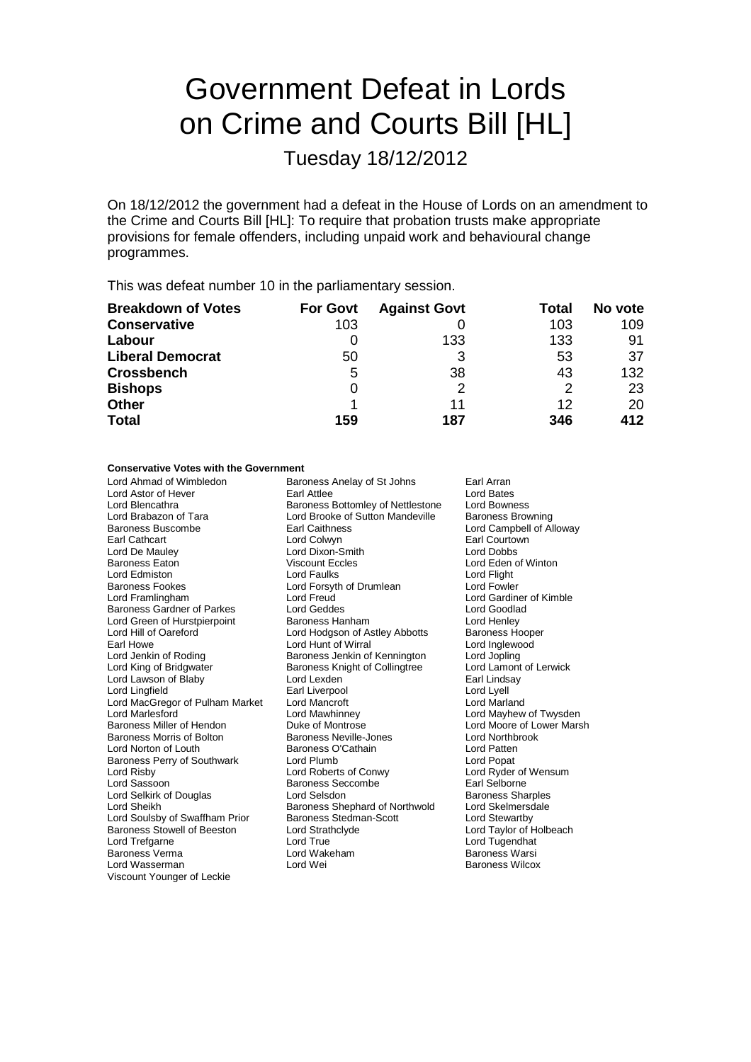# Government Defeat in Lords on Crime and Courts Bill [HL]

Tuesday 18/12/2012

On 18/12/2012 the government had a defeat in the House of Lords on an amendment to the Crime and Courts Bill [HL]: To require that probation trusts make appropriate provisions for female offenders, including unpaid work and behavioural change programmes.

This was defeat number 10 in the parliamentary session.

| <b>Breakdown of Votes</b> | <b>For Govt</b> | <b>Against Govt</b> | Total | No vote |
|---------------------------|-----------------|---------------------|-------|---------|
| <b>Conservative</b>       | 103             |                     | 103   | 109     |
| Labour                    |                 | 133                 | 133   | 91      |
| <b>Liberal Democrat</b>   | 50              |                     | 53    | 37      |
| <b>Crossbench</b>         | 5               | 38                  | 43    | 132     |
| <b>Bishops</b>            | 0               |                     |       | 23      |
| <b>Other</b>              |                 | 11                  | 12    | 20      |
| <b>Total</b>              | 159             | 187                 | 346   | 412     |

#### **Conservative Votes with the Government**

| Lord Ahmad of Wimbledon           | Baroness Anelay of St Johns       | Earl Arran                |
|-----------------------------------|-----------------------------------|---------------------------|
| Lord Astor of Hever               | <b>Earl Attlee</b>                | <b>Lord Bates</b>         |
| Lord Blencathra                   | Baroness Bottomley of Nettlestone | <b>Lord Bowness</b>       |
| Lord Brabazon of Tara             | Lord Brooke of Sutton Mandeville  | <b>Baroness Browning</b>  |
| Baroness Buscombe                 | Earl Caithness                    | Lord Campbell of Alloway  |
| <b>Earl Cathcart</b>              | Lord Colwyn                       | Earl Courtown             |
| Lord De Mauley                    | Lord Dixon-Smith                  | <b>Lord Dobbs</b>         |
| Baroness Eaton                    | <b>Viscount Eccles</b>            | Lord Eden of Winton       |
| Lord Edmiston                     | Lord Faulks                       | Lord Flight               |
| <b>Baroness Fookes</b>            | Lord Forsyth of Drumlean          | Lord Fowler               |
| Lord Framlingham                  | Lord Freud                        | Lord Gardiner of Kimble   |
| <b>Baroness Gardner of Parkes</b> | Lord Geddes                       | Lord Goodlad              |
| Lord Green of Hurstpierpoint      | Baroness Hanham                   | Lord Henley               |
| Lord Hill of Oareford             | Lord Hodgson of Astley Abbotts    | <b>Baroness Hooper</b>    |
| Earl Howe                         | Lord Hunt of Wirral               | Lord Inglewood            |
| Lord Jenkin of Roding             | Baroness Jenkin of Kennington     | Lord Jopling              |
| Lord King of Bridgwater           | Baroness Knight of Collingtree    | Lord Lamont of Lerwick    |
| Lord Lawson of Blaby              | Lord Lexden                       | Earl Lindsay              |
| Lord Lingfield                    | Earl Liverpool                    | Lord Lyell                |
| Lord MacGregor of Pulham Market   | Lord Mancroft                     | Lord Marland              |
| <b>Lord Marlesford</b>            | Lord Mawhinney                    | Lord Mayhew of Twysden    |
| Baroness Miller of Hendon         | Duke of Montrose                  | Lord Moore of Lower Marsh |
| Baroness Morris of Bolton         | <b>Baroness Neville-Jones</b>     | Lord Northbrook           |
| Lord Norton of Louth              | Baroness O'Cathain                | Lord Patten               |
| Baroness Perry of Southwark       | Lord Plumb                        | Lord Popat                |
| Lord Risby                        | Lord Roberts of Conwy             | Lord Ryder of Wensum      |
| Lord Sassoon                      | <b>Baroness Seccombe</b>          | Earl Selborne             |
| Lord Selkirk of Douglas           | Lord Selsdon                      | <b>Baroness Sharples</b>  |
| Lord Sheikh                       | Baroness Shephard of Northwold    | Lord Skelmersdale         |
| Lord Soulsby of Swaffham Prior    | <b>Baroness Stedman-Scott</b>     | Lord Stewartby            |
| Baroness Stowell of Beeston       | Lord Strathclyde                  | Lord Taylor of Holbeach   |
| Lord Trefgarne                    | Lord True                         | Lord Tugendhat            |
| <b>Baroness Verma</b>             | Lord Wakeham                      | <b>Baroness Warsi</b>     |
| Lord Wasserman                    | Lord Wei                          | <b>Baroness Wilcox</b>    |
| Viscount Younger of Leckie        |                                   |                           |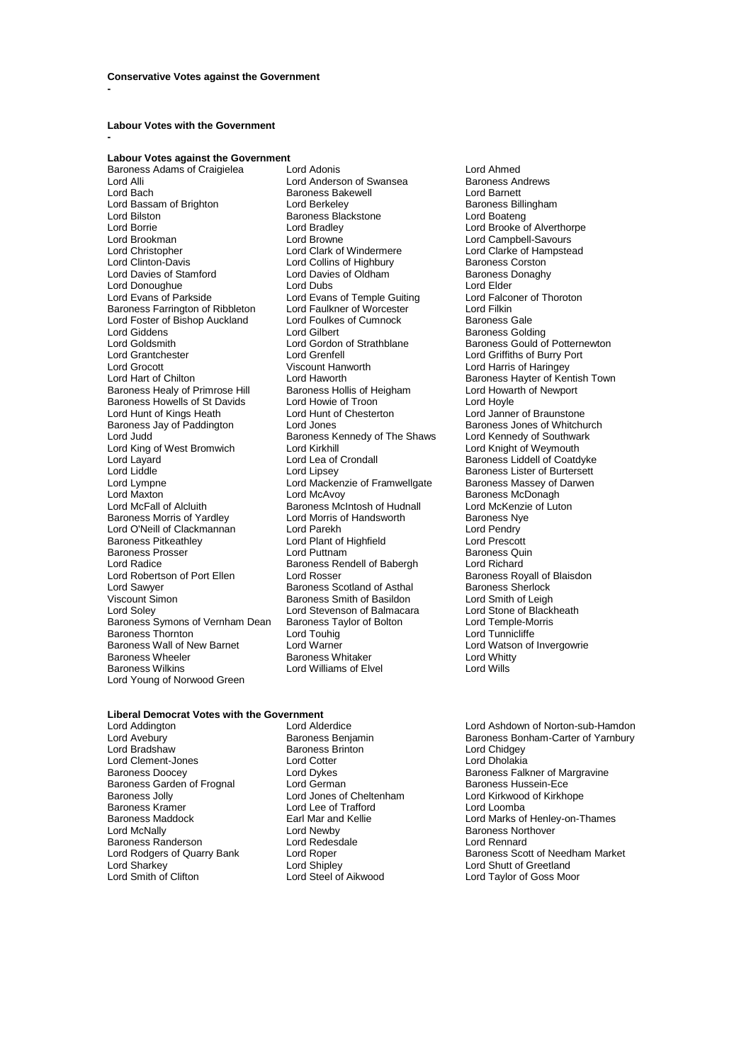### **Labour Votes with the Government**

**-**

**-**

## **Labour Votes against the Government**

Lord Alli Lord Anderson of Swansea Baroness Andrews Baroness Andrews Andrews Andrews Andrews Andrews Andrews A<br>Lord Baroness Andrews Baroness Askewell and Baronet Lord Bassam of Brighton Lord Berkeley Cord Baroness Billingham Baroness Billingham Baroness Billingham Baroness Blackstone Cord Boateng Lord Bilston Baroness Blackstone<br>
Lord Borrie Lord Bradley Lord Borrie Lord Bradley Lord Brooke of Alverthorpe Lord Brookman Lord Browne Lord Brookman Lord Campbell-Savours<br>
Lord Christopher Lord Clark of Windermere Lord Clarke of Hampstead Lord Christopher **Lord Clark of Windermere** Lord Clarke of Hampster Clarke of Hampstead Lord Clarke of Hampstead Lord Collins of Highbury **Containers** Baroness Corston Lord Davies of Stamford Lord Davies of Oldham Baroness I<br>
Lord Donaughue Lord Dubs
Lord Dubs
Cord Dubs
Lord Dubs
Lord Dubs
Lord Dubs
Lord Dubs
Lord Dubs
Lord Dubs
Lord Dubs
Lord Dubs
Lord Dubs
Lord Dubs
Lord Dubs
Lord Dubs Lord Donoughue **Lord Dubs**<br>
Lord Evans of Parkside **Lord Evans of Temple Guiting** Lord Falconer of Thoroton Baroness Farrington of Ribbleton Lord Faulkner of Worcester The Lord Filkin<br>
Lord Foster of Bishop Auckland Lord Foulkes of Cumnock Baroness Gale Lord Foster of Bishop Auckland Lord Foulke<br>
Lord Giddens baroness Lord Gilbert Lord Giddens **Lord Gilbert** Communist Communist Communist Colding<br>Cord Goldsmith **Lord Gordon of Strathblane** Baroness Gould o Lord Goldsmith **Lord Gordon of Strathblane** Baroness Gould of Potternewton<br>
Lord Grantchester Lord Grenfell **Lord Contration**<br>
Lord Griffiths of Burry Port Lord Grantchester Lord Grenfell Lord Griffiths of Burry Port Lord Grocott Viscount Hanworth Lord Harris of Haringey Baroness Healy of Primrose Hill Baroness Hollis of Heigham Lord Howarth Dural Howarth Ord Hoyle<br>Baroness Howells of St Davids Lord Howie of Troon Baroness Howells of St Davids<br>
Lord Hoyle Lord Howells of St Davids<br>
Lord Howell Anner of Braunstone Lord Howle Lord Lord Janner of Braunstone Lord Hunt of Kings Heath Lord Hunt of Chesterton Lord Hunt of Branch Braunstonen Lord Jones Baroness Jay of Paddington Lord Jones<br>
Lord Judd Baroness Kennedy of The Shaws Lord Kennedy of Southwark Lord King of West Bromwich Lord Kirkhill<br>
Lord Layard Lord Lea of Crondall Lord Layard **Lord Lea of Crondall** Baroness Liddell of Coatdyke<br>
Lord Liddle **Lord Linsey** Lord Lipsey Baroness Lister of Burtersett Lord Lympne Lord Mackenzie of Framwellgate<br>
Lord Maxton<br>
Lord McAvoy Lord Maxton **Maxton** Cord McAvoy Lord McAvoy Baroness McDonagh<br>
Lord McFall of Alcluith **Baroness McIntosh of Hudnall** Lord McKenzie of Luton Baroness Morris of Yardley Lord Morris of Handsworth Baroness Nye Lord O'Neill of Clackmannan Lord Parekh Lord Pendry Baroness Prosser <sup>1</sup> 1990 Lord Puttnam 1990 Lord Raroness Quinquess Quinquess Quinquess Quinquess Quinquess Quinquess Quinquess Quinquess Quinquess Quinquess Quinquess Rendell of Babergh 1990 Lord Richard Lord Robertson of Port Ellen Lord Rosser Cord Rosser Baroness Royall of Lord Savyer Baroness Royall of Baroness Scotland of Asthal Baroness Sherlock Lord Sawyer **Baroness Scotland of Asthal** Baroness Sherlock<br>
Viscount Simon **Baroness Smith of Basildon** Baroness Sherlock Viscount Simon Baroness Smith of Basildon<br>
Lord Soley Balmacar<br>
Lord Stevenson of Balmacar Baroness Symons of Vernham Dean Baroness Taylor of Bolton **Lord Temple-Morriss Taylor Constant** Lord Temple-Morri<br>Baroness Thornton Lord Lord Touhig Lord Temple-Morriss Lord Tunnicliffe Baroness Thornton **Example 2** Lord Touhig **Constanting Lord Tunnicliffe**<br>Baroness Wall of New Barnet Lord Warner Lord Warner Lord Watson of Invergowrie Baroness Wall of New Barnet Lord Warner Lord Watson Christian Market Christian Market Review Christ Christian<br>
Baroness Whitaker Lord Whitty Baroness Wheeler The Baroness Whitaker Corners Corner Lord Whitt<br>Baroness Wilkins Corners Lord Williams of Elvel Corners Lord Wills Lord Young of Norwood Green

Baroness Adams of Craigielea Lord Adonis<br>
Lord Anderson of Swansea Baroness Andrews<br>
Lord Anderson of Swansea Baroness Andrews **Baroness Bakewell Example 2018** Lord Barnett<br>
Lord Berkeley **Baroness Billingham** Lord Collins of Highbury **Baroness Corston**<br>
Lord Davies of Oldham **Baroness Donaghy** Lord Evans of Temple Guiting Lord Falcon<br>
Lord Faulkner of Worcester Lord Filkin Lord Haworth **Chilton Lord Hart Chilton Lord Haworth Town**<br>Baroness Hollis of Heigham **Baron Lord Howarth of Newport** Baroness Kennedy of The Shaws Lord Kennedy of Southwa<br>Lord Kirkhill Lord Knight of Weymouth Exaroness McIntosh of Hudnall Lord McKenzie<br>Lord Morris of Handsworth Baroness Nye Lord Plant of Highfield Lord Prescott<br>
Lord Puttnam Cord Baroness Quin **EXECT:**<br>
Baroness Rendell of Babergh Lord Richard<br>
Lord Rosser Baroness Royall of Blaisdon Lord Stevenson of Balmacara Lord Stone of Blackheath<br>
Baroness Taylor of Bolton Lord Temple-Morris Lord Williams of Elvel

Baroness Lister of Burtersett<br>Baroness Massey of Darwen

## **Liberal Democrat Votes with the Government**

Lord Clement-Jones<br>
Baroness Doocev<br>
Lord Dvkes Baroness Garden of Frognal Lord German Computer and Baroness Hussein-Ece<br>Baroness Jolly Cord Lord Jones of Cheltenham Lord Kirkwood of Kirkhope Baroness Jolly Lord Jones of Cheltenham Lord Kirkwood of Kirkhope Baroness Kramer **Lord Lee of Trafford**<br> **Baroness Maddock Larl Mar and Kellie** Baroness Randerson Lord Redes<br>
Lord Rodgers of Quarry Bank Lord Roper Lord Sharkey **Lord Shipley** Lord Shipley **Lord Shutt of Greetland Lord Shutt of Greetland Lord Shutt of Greetland Lord Shutt of Goss Moore Lord Shutt of Greetland Lord Shutt of Greetland Lord Shutt of Greetland Lord Shutt** 

Baroness Brinton **Baroness Brinton** Lord Chidgey<br>
Lord Cotter Lord Chidgey Lord Newby **Baroness Northover**<br>
Lord Redesdale **Baroness Lord Rennard** 

Lord Addington Lord Alderdice Lord Ashdown of Norton-sub-Hamdon Lord Avebury **Example 2** Baroness Benjamin Baroness Bonham-Carter of Yarnbury<br>
Lord Bradshaw **Baroness Brinton** Baroness Brinton Lord Chidgey Lord Dykes **Baroness Falkner of Margravine**<br>
Lord German **Baroness Hussein-Ece** Baroness Maddock **Earl Mar and Kellie Earl Mar and Earl Marks of Henley-on-Thames**<br>
Lord McNally **Cord Newby** Lord Newby **Baroness Northover** Lord Roper **Construction Bank Lord Roper Bank Lord Shutt of Needham Market**<br>
Lord Shutt of Greetland Lord Taylor of Goss Moor